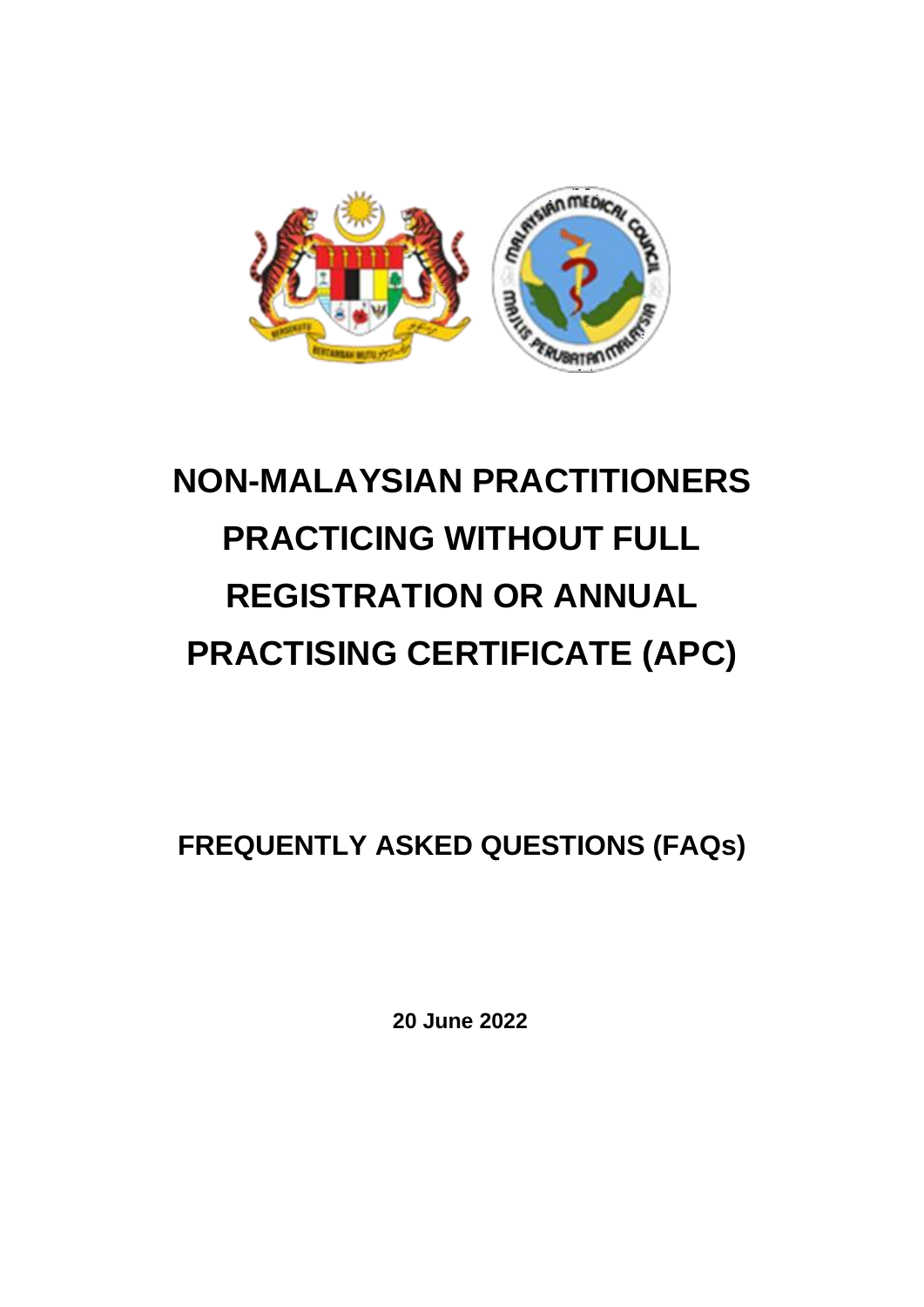

# **NON-MALAYSIAN PRACTITIONERS PRACTICING WITHOUT FULL REGISTRATION OR ANNUAL PRACTISING CERTIFICATE (APC)**

**FREQUENTLY ASKED QUESTIONS (FAQs)** 

**20 June 2022**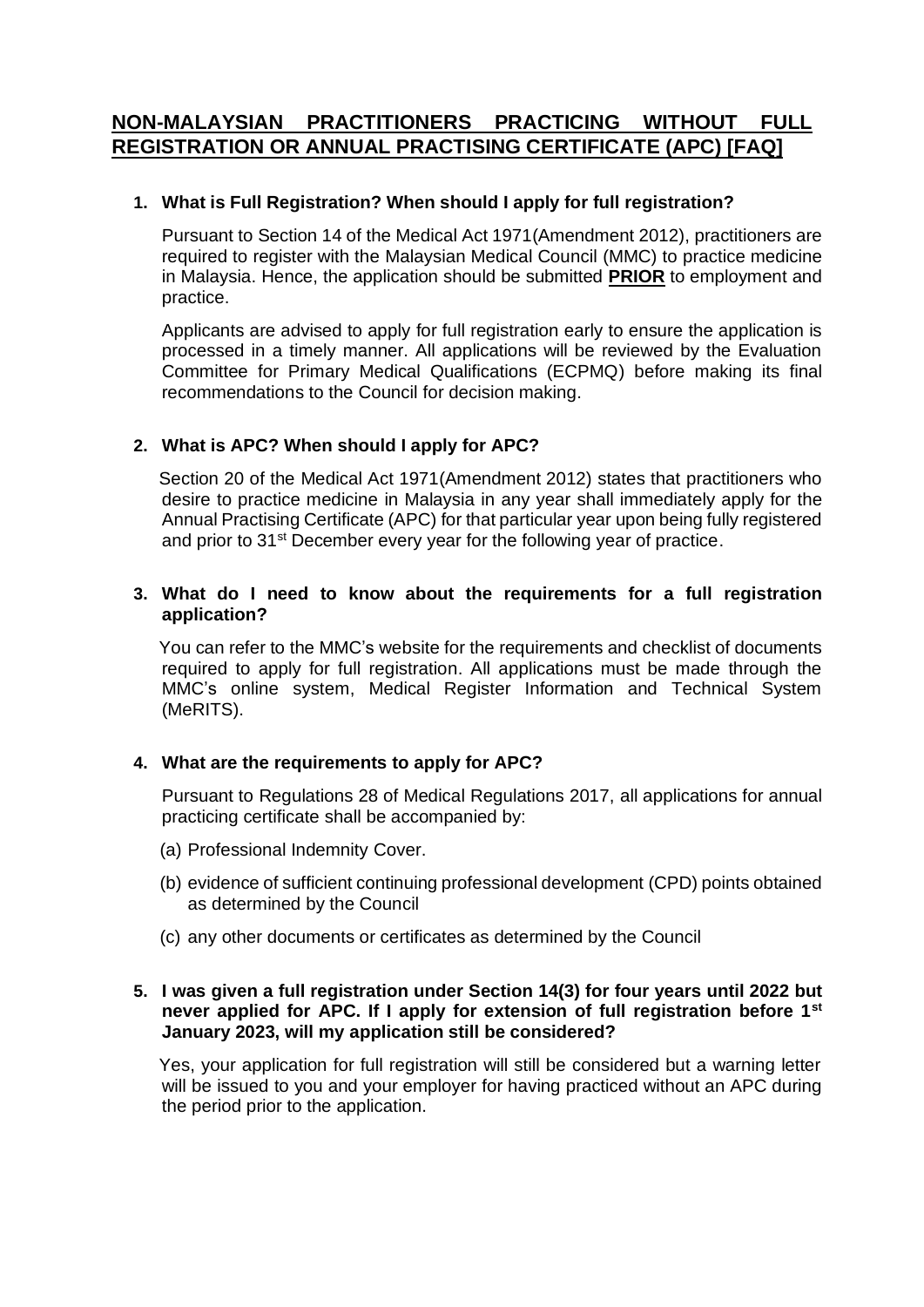# **NON-MALAYSIAN PRACTITIONERS PRACTICING WITHOUT FULL REGISTRATION OR ANNUAL PRACTISING CERTIFICATE (APC) [FAQ]**

# **1. What is Full Registration? When should I apply for full registration?**

Pursuant to Section 14 of the Medical Act 1971(Amendment 2012), practitioners are required to register with the Malaysian Medical Council (MMC) to practice medicine in Malaysia. Hence, the application should be submitted **PRIOR** to employment and practice.

Applicants are advised to apply for full registration early to ensure the application is processed in a timely manner. All applications will be reviewed by the Evaluation Committee for Primary Medical Qualifications (ECPMQ) before making its final recommendations to the Council for decision making.

# **2. What is APC? When should I apply for APC?**

Section 20 of the Medical Act 1971(Amendment 2012) states that practitioners who desire to practice medicine in Malaysia in any year shall immediately apply for the Annual Practising Certificate (APC) for that particular year upon being fully registered and prior to 31<sup>st</sup> December every year for the following year of practice.

#### **3. What do I need to know about the requirements for a full registration application?**

You can refer to the MMC's website for the requirements and checklist of documents required to apply for full registration. All applications must be made through the MMC's online system, Medical Register Information and Technical System (MeRITS).

#### **4. What are the requirements to apply for APC?**

Pursuant to Regulations 28 of Medical Regulations 2017, all applications for annual practicing certificate shall be accompanied by:

- (a) Professional Indemnity Cover.
- (b) evidence of sufficient continuing professional development (CPD) points obtained as determined by the Council
- (c) any other documents or certificates as determined by the Council

#### **5. I was given a full registration under Section 14(3) for four years until 2022 but never applied for APC. If I apply for extension of full registration before 1st January 2023, will my application still be considered?**

Yes, your application for full registration will still be considered but a warning letter will be issued to you and your employer for having practiced without an APC during the period prior to the application.